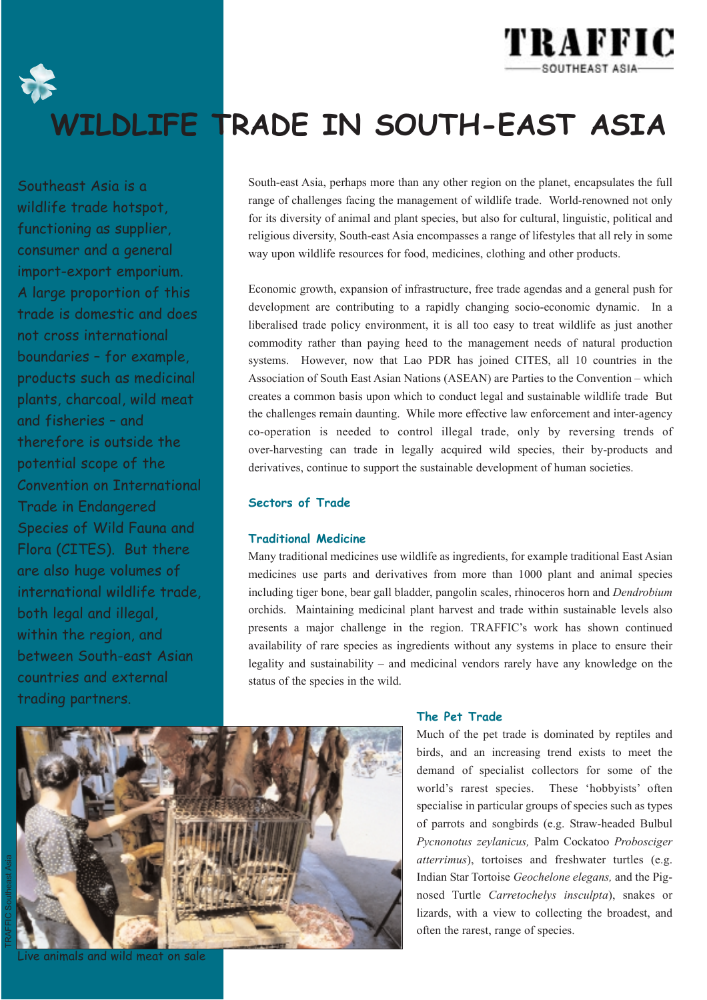

## **WILDLIFE TRADE IN SOUTH-EAST ASIA**

Southeast Asia is a wildlife trade hotspot, functioning as supplier, consumer and a general import-export emporium. A large proportion of this trade is domestic and does not cross international boundaries – for example, products such as medicinal plants, charcoal, wild meat and fisheries – and therefore is outside the potential scope of the Convention on International Trade in Endangered Species of Wild Fauna and Flora (CITES). But there are also huge volumes of international wildlife trade, both legal and illegal, within the region, and between South-east Asian countries and external trading partners.

South-east Asia, perhaps more than any other region on the planet, encapsulates the full range of challenges facing the management of wildlife trade. World-renowned not only for its diversity of animal and plant species, but also for cultural, linguistic, political and religious diversity, South-east Asia encompasses a range of lifestyles that all rely in some way upon wildlife resources for food, medicines, clothing and other products.

Economic growth, expansion of infrastructure, free trade agendas and a general push for development are contributing to a rapidly changing socio-economic dynamic. In a liberalised trade policy environment, it is all too easy to treat wildlife as just another commodity rather than paying heed to the management needs of natural production systems. However, now that Lao PDR has joined CITES, all 10 countries in the Association of South East Asian Nations (ASEAN) are Parties to the Convention – which creates a common basis upon which to conduct legal and sustainable wildlife trade But the challenges remain daunting. While more effective law enforcement and inter-agency co-operation is needed to control illegal trade, only by reversing trends of over-harvesting can trade in legally acquired wild species, their by-products and derivatives, continue to support the sustainable development of human societies.

#### **Sectors of Trade**

#### **Traditional Medicine**

Many traditional medicines use wildlife as ingredients, for example traditional East Asian medicines use parts and derivatives from more than 1000 plant and animal species including tiger bone, bear gall bladder, pangolin scales, rhinoceros horn and *Dendrobium* orchids. Maintaining medicinal plant harvest and trade within sustainable levels also presents a major challenge in the region. TRAFFIC's work has shown continued availability of rare species as ingredients without any systems in place to ensure their legality and sustainability – and medicinal vendors rarely have any knowledge on the status of the species in the wild.



### Live animals and wild meat on sale

#### **The Pet Trade**

Much of the pet trade is dominated by reptiles and birds, and an increasing trend exists to meet the demand of specialist collectors for some of the world's rarest species. These 'hobbyists' often specialise in particular groups of species such as types of parrots and songbirds (e.g. Straw-headed Bulbul *Pycnonotus zeylanicus,* Palm Cockatoo *Probosciger atterrimus*), tortoises and freshwater turtles (e.g. Indian Star Tortoise *Geochelone elegans,* and the Pignosed Turtle *Carretochelys insculpta*), snakes or lizards, with a view to collecting the broadest, and often the rarest, range of species.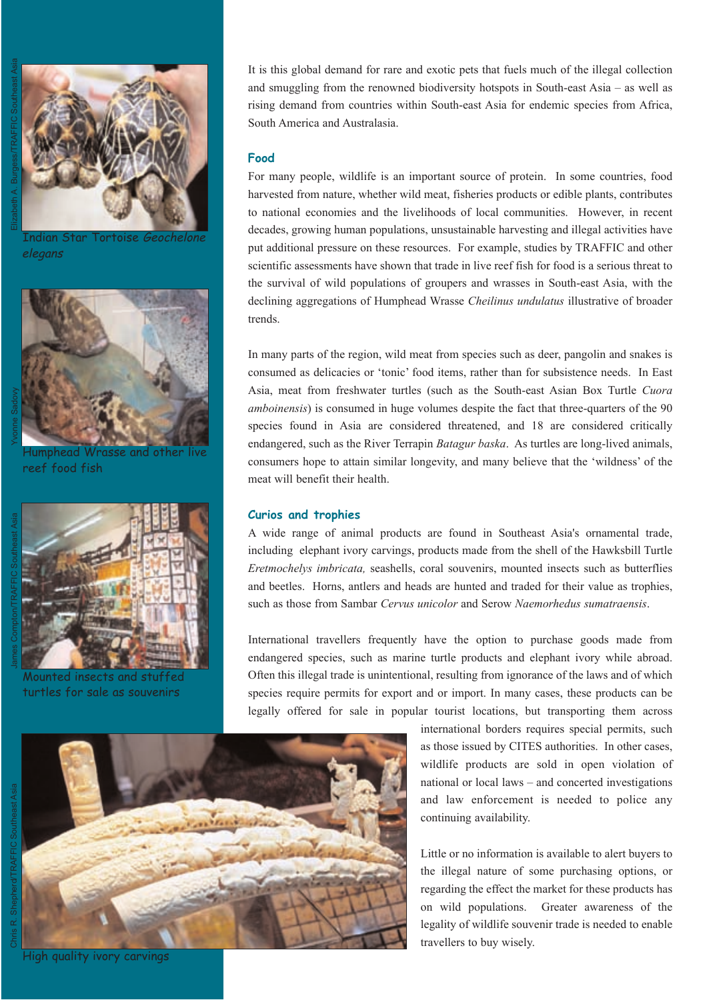

Indian Star Tortoise Geochelone elegans



lumphead Wrasse and other reef food fish

Mounted insects and stuffed turtles for sale as souvenirs

It is this global demand for rare and exotic pets that fuels much of the illegal collection and smuggling from the renowned biodiversity hotspots in South-east Asia – as well as rising demand from countries within South-east Asia for endemic species from Africa, South America and Australasia.

#### **Food**

For many people, wildlife is an important source of protein. In some countries, food harvested from nature, whether wild meat, fisheries products or edible plants, contributes to national economies and the livelihoods of local communities. However, in recent decades, growing human populations, unsustainable harvesting and illegal activities have put additional pressure on these resources. For example, studies by TRAFFIC and other scientific assessments have shown that trade in live reef fish for food is a serious threat to the survival of wild populations of groupers and wrasses in South-east Asia, with the declining aggregations of Humphead Wrasse *Cheilinus undulatus* illustrative of broader trends.

In many parts of the region, wild meat from species such as deer, pangolin and snakes is consumed as delicacies or 'tonic' food items, rather than for subsistence needs. In East Asia, meat from freshwater turtles (such as the South-east Asian Box Turtle *Cuora amboinensis*) is consumed in huge volumes despite the fact that three-quarters of the 90 species found in Asia are considered threatened, and 18 are considered critically endangered, such as the River Terrapin *Batagur baska*. As turtles are long-lived animals, consumers hope to attain similar longevity, and many believe that the 'wildness' of the meat will benefit their health.

#### **Curios and trophies**

A wide range of animal products are found in Southeast Asia's ornamental trade, including elephant ivory carvings, products made from the shell of the Hawksbill Turtle *Eretmochelys imbricata,* seashells, coral souvenirs, mounted insects such as butterflies and beetles. Horns, antlers and heads are hunted and traded for their value as trophies, such as those from Sambar *Cervus unicolor* and Serow *Naemorhedus sumatraensis*.

International travellers frequently have the option to purchase goods made from endangered species, such as marine turtle products and elephant ivory while abroad. Often this illegal trade is unintentional, resulting from ignorance of the laws and of which species require permits for export and or import. In many cases, these products can be legally offered for sale in popular tourist locations, but transporting them across

Chris R. Shepherd/TRAFFIC Southeast Asia



international borders requires special permits, such as those issued by CITES authorities. In other cases, wildlife products are sold in open violation of national or local laws – and concerted investigations and law enforcement is needed to police any continuing availability.

Little or no information is available to alert buyers to the illegal nature of some purchasing options, or regarding the effect the market for these products has on wild populations. Greater awareness of the legality of wildlife souvenir trade is needed to enable travellers to buy wisely.

High quality ivory carvings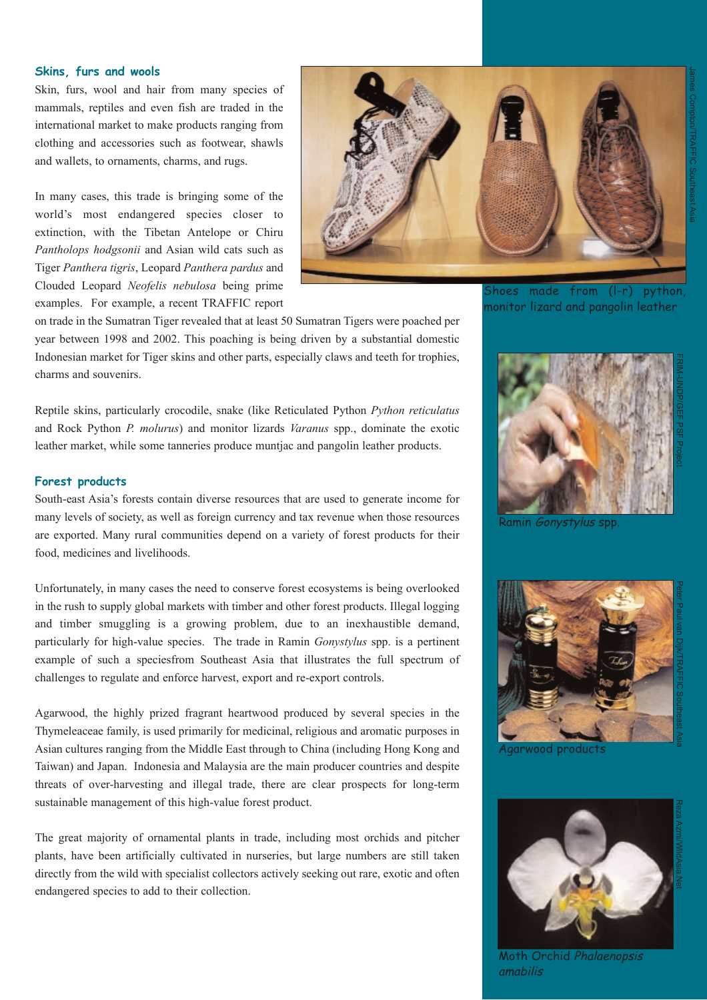#### **Skins, furs and wools**

Skin, furs, wool and hair from many species of mammals, reptiles and even fish are traded in the international market to make products ranging from clothing and accessories such as footwear, shawls and wallets, to ornaments, charms, and rugs.

In many cases, this trade is bringing some of the world's most endangered species closer to extinction, with the Tibetan Antelope or Chiru *Pantholops hodgsonii* and Asian wild cats such as Tiger *Panthera tigris*, Leopard *Panthera pardus* and Clouded Leopard *Neofelis nebulosa* being prime examples. For example, a recent TRAFFIC report



Shoes made from (l-r) python, monitor lizard and pangolin leather

James Compton/TRAFFIC

Southeast Asia

on trade in the Sumatran Tiger revealed that at least 50 Sumatran Tigers were poached per year between 1998 and 2002. This poaching is being driven by a substantial domestic Indonesian market for Tiger skins and other parts, especially claws and teeth for trophies, charms and souvenirs.

Reptile skins, particularly crocodile, snake (like Reticulated Python *Python reticulatus* and Rock Python *P. molurus*) and monitor lizards *Varanus* spp., dominate the exotic leather market, while some tanneries produce muntjac and pangolin leather products.

#### **Forest products**

South-east Asia's forests contain diverse resources that are used to generate income for many levels of society, as well as foreign currency and tax revenue when those resources are exported. Many rural communities depend on a variety of forest products for their food, medicines and livelihoods.

Unfortunately, in many cases the need to conserve forest ecosystems is being overlooked in the rush to supply global markets with timber and other forest products. Illegal logging and timber smuggling is a growing problem, due to an inexhaustible demand, particularly for high-value species. The trade in Ramin *Gonystylus* spp. is a pertinent example of such a speciesfrom Southeast Asia that illustrates the full spectrum of challenges to regulate and enforce harvest, export and re-export controls.

Agarwood, the highly prized fragrant heartwood produced by several species in the Thymeleaceae family, is used primarily for medicinal, religious and aromatic purposes in Asian cultures ranging from the Middle East through to China (including Hong Kong and Taiwan) and Japan. Indonesia and Malaysia are the main producer countries and despite threats of over-harvesting and illegal trade, there are clear prospects for long-term sustainable management of this high-value forest product.

The great majority of ornamental plants in trade, including most orchids and pitcher plants, have been artificially cultivated in nurseries, but large numbers are still taken directly from the wild with specialist collectors actively seeking out rare, exotic and often endangered species to add to their collection.



Ramin *Gonystylus* spp.





Moth Orchid Phalaenopsis amabilis